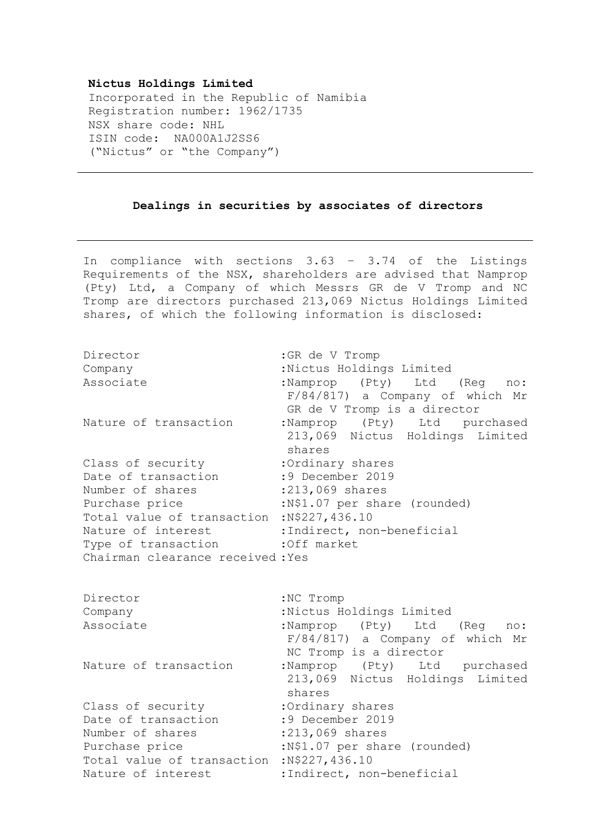## **Nictus Holdings Limited**

Incorporated in the Republic of Namibia Registration number: 1962/1735 NSX share code: NHL ISIN code: NA000A1J2SS6 ("Nictus" or "the Company")

## **Dealings in securities by associates of directors**

In compliance with sections 3.63 – 3.74 of the Listings Requirements of the NSX, shareholders are advised that Namprop (Pty) Ltd, a Company of which Messrs GR de V Tromp and NC Tromp are directors purchased 213,069 Nictus Holdings Limited shares, of which the following information is disclosed:

| Director<br>Company                         | : GR de V Tromp<br>:Nictus Holdings Limited                                                   |
|---------------------------------------------|-----------------------------------------------------------------------------------------------|
| Associate                                   | :Namprop (Pty) Ltd (Req no:<br>F/84/817) a Company of which Mr<br>GR de V Tromp is a director |
| Nature of transaction                       | :Namprop (Pty) Ltd purchased<br>213,069 Nictus Holdings Limited<br>shares                     |
| Class of security                           | :Ordinary shares                                                                              |
| Date of transaction                         | :9 December 2019                                                                              |
| Number of shares                            | :213,069 shares                                                                               |
| Purchase price                              | :N\$1.07 per share (rounded)                                                                  |
| Total value of transaction : N\$227, 436.10 |                                                                                               |
| Nature of interest                          | :Indirect, non-beneficial                                                                     |
| Type of transaction : Off market            |                                                                                               |
| Chairman clearance received: Yes            |                                                                                               |
| Director                                    | :NC Tromp                                                                                     |
| Company                                     | :Nictus Holdings Limited                                                                      |
| Associate                                   | :Namprop (Pty) Ltd (Req no:<br>F/84/817) a Company of which Mr<br>NC Tromp is a director      |
| Nature of transaction                       | :Namprop (Pty) Ltd purchased<br>213,069 Nictus Holdings Limited<br>shares                     |
| Class of security                           | :Ordinary shares                                                                              |
| Date of transaction                         | :9 December 2019                                                                              |
| Number of shares                            | :213,069 shares                                                                               |
| Purchase price                              | :N\$1.07 per share (rounded)                                                                  |

Total value of transaction :N\$227,436.10

Nature of interest :Indirect, non-beneficial